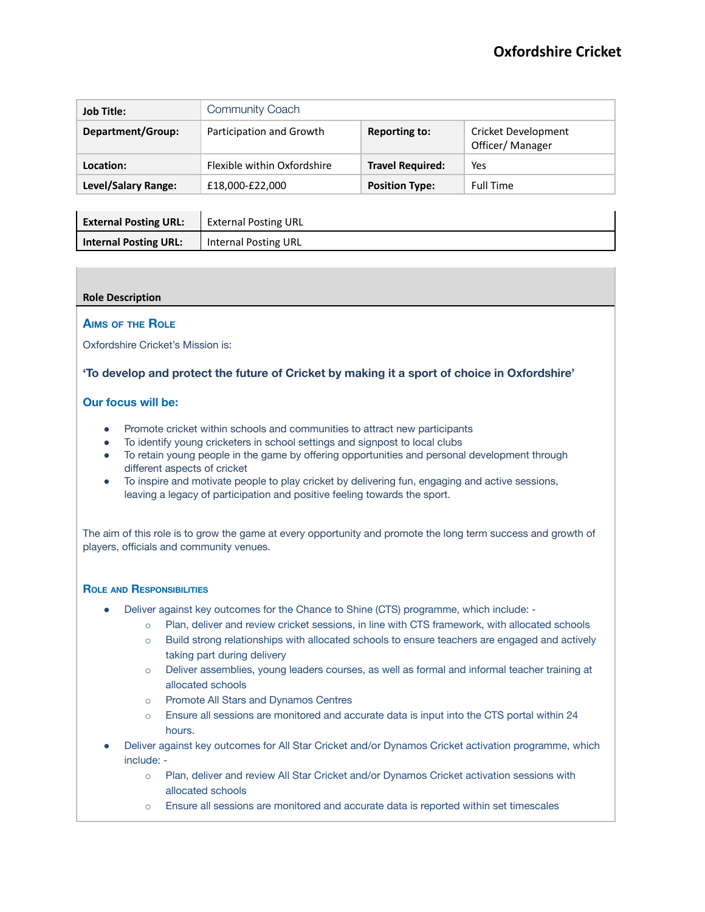| <b>Job Title:</b>   | Community Coach             |                         |                                        |  |
|---------------------|-----------------------------|-------------------------|----------------------------------------|--|
| Department/Group:   | Participation and Growth    | <b>Reporting to:</b>    | Cricket Development<br>Officer/Manager |  |
| Location:           | Flexible within Oxfordshire | <b>Travel Required:</b> | Yes                                    |  |
| Level/Salary Range: | £18,000-£22,000             | <b>Position Type:</b>   | <b>Full Time</b>                       |  |
|                     |                             |                         |                                        |  |

| <b>External Posting URL:</b> | <b>External Posting URL</b> |
|------------------------------|-----------------------------|
| <b>Internal Posting URL:</b> | <b>Internal Posting URL</b> |

### **Role Description**

#### **AIMS OF THE ROLE**

Oxfordshire Cricket's Mission is:

# **'To develop and protect the future of Cricket by making it a sport of choice in Oxfordshire'**

# **Our focus will be:**

- Promote cricket within schools and communities to attract new participants
- To identify young cricketers in school settings and signpost to local clubs
- To retain young people in the game by offering opportunities and personal development through different aspects of cricket
- To inspire and motivate people to play cricket by delivering fun, engaging and active sessions, leaving a legacy of participation and positive feeling towards the sport.

The aim of this role is to grow the game at every opportunity and promote the long term success and growth of players, officials and community venues.

#### **ROLE AND RESPONSIBILITIES**

- Deliver against key outcomes for the Chance to Shine (CTS) programme, which include:
	- o Plan, deliver and review cricket sessions, in line with CTS framework, with allocated schools
	- o Build strong relationships with allocated schools to ensure teachers are engaged and actively taking part during delivery
	- o Deliver assemblies, young leaders courses, as well as formal and informal teacher training at allocated schools
	- o Promote All Stars and Dynamos Centres
	- o Ensure all sessions are monitored and accurate data is input into the CTS portal within 24 hours.
- Deliver against key outcomes for All Star Cricket and/or Dynamos Cricket activation programme, which include:
	- o Plan, deliver and review All Star Cricket and/or Dynamos Cricket activation sessions with allocated schools
	- o Ensure all sessions are monitored and accurate data is reported within set timescales